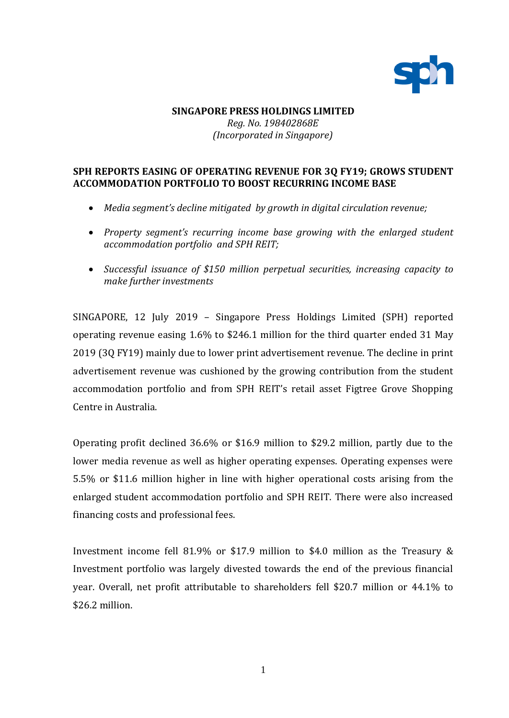

## **SINGAPORE PRESS HOLDINGS LIMITED** *Reg. No. 198402868E (Incorporated in Singapore)*

# **SPH REPORTS EASING OF OPERATING REVENUE FOR 3Q FY19; GROWS STUDENT ACCOMMODATION PORTFOLIO TO BOOST RECURRING INCOME BASE**

- *Media segment's decline mitigated by growth in digital circulation revenue;*
- *Property segment's recurring income base growing with the enlarged student accommodation portfolio and SPH REIT;*
- *Successful issuance of \$150 million perpetual securities, increasing capacity to make further investments*

SINGAPORE, 12 July 2019 – Singapore Press Holdings Limited (SPH) reported operating revenue easing 1.6% to \$246.1 million for the third quarter ended 31 May 2019 (3Q FY19) mainly due to lower print advertisement revenue. The decline in print advertisement revenue was cushioned by the growing contribution from the student accommodation portfolio and from SPH REIT's retail asset Figtree Grove Shopping Centre in Australia.

Operating profit declined 36.6% or \$16.9 million to \$29.2 million, partly due to the lower media revenue as well as higher operating expenses. Operating expenses were 5.5% or \$11.6 million higher in line with higher operational costs arising from the enlarged student accommodation portfolio and SPH REIT. There were also increased financing costs and professional fees.

Investment income fell 81.9% or \$17.9 million to \$4.0 million as the Treasury & Investment portfolio was largely divested towards the end of the previous financial year. Overall, net profit attributable to shareholders fell \$20.7 million or 44.1% to \$26.2 million.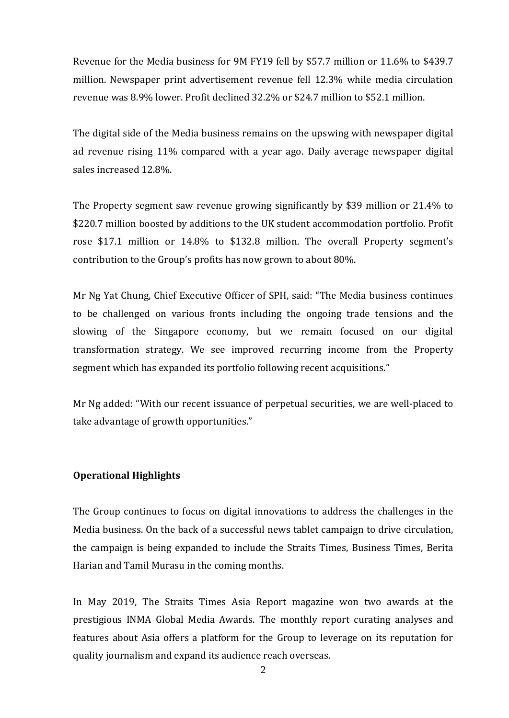Revenue for the Media business for 9M FY19 fell by \$57.7 million or 11.6% to \$439.7 million. Newspaper print advertisement revenue fell 12.3% while media circulation revenue was 8.9% lower. Profit declined 32.2% or \$24.7 million to \$52.1 million.

The digital side of the Media business remains on the upswing with newspaper digital ad revenue rising 11% compared with a year ago. Daily average newspaper digital sales increased 12.8%.

The Property segment saw revenue growing significantly by \$39 million or 21.4% to \$220.7 million boosted by additions to the UK student accommodation portfolio. Profit rose \$17.1 million or 14.8% to \$132.8 million. The overall Property segment's contribution to the Group's profits has now grown to about 80%.

Mr Ng Yat Chung, Chief Executive Officer of SPH, said: "The Media business continues to be challenged on various fronts including the ongoing trade tensions and the slowing of the Singapore economy, but we remain focused on our digital transformation strategy. We see improved recurring income from the Property segment which has expanded its portfolio following recent acquisitions."

Mr Ng added: "With our recent issuance of perpetual securities, we are well-placed to take advantage of growth opportunities."

### **Operational Highlights**

The Group continues to focus on digital innovations to address the challenges in the Media business. On the back of a successful news tablet campaign to drive circulation, the campaign is being expanded to include the Straits Times, Business Times, Berita Harian and Tamil Murasu in the coming months.

In May 2019, The Straits Times Asia Report magazine won two awards at the prestigious INMA Global Media Awards. The monthly report curating analyses and features about Asia offers a platform for the Group to leverage on its reputation for quality journalism and expand its audience reach overseas.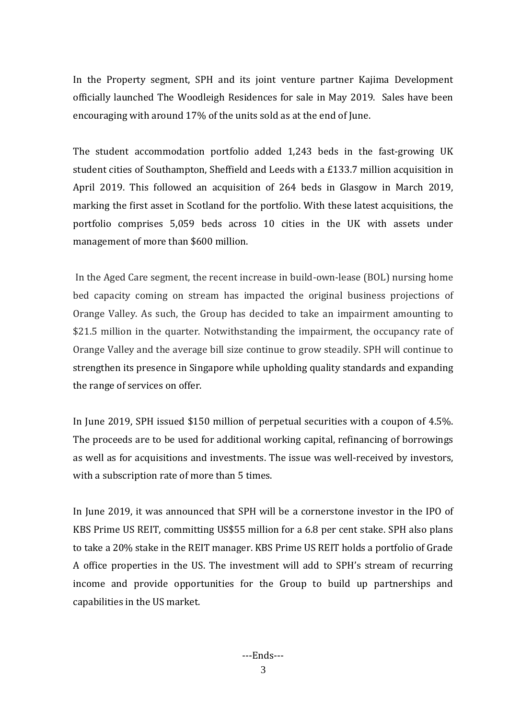In the Property segment, SPH and its joint venture partner Kajima Development officially launched The Woodleigh Residences for sale in May 2019. Sales have been encouraging with around 17% of the units sold as at the end of June.

The student accommodation portfolio added 1,243 beds in the fast-growing UK student cities of Southampton, Sheffield and Leeds with a £133.7 million acquisition in April 2019. This followed an acquisition of 264 beds in Glasgow in March 2019, marking the first asset in Scotland for the portfolio. With these latest acquisitions, the portfolio comprises 5,059 beds across 10 cities in the UK with assets under management of more than \$600 million.

In the Aged Care segment, the recent increase in build-own-lease (BOL) nursing home bed capacity coming on stream has impacted the original business projections of Orange Valley. As such, the Group has decided to take an impairment amounting to \$21.5 million in the quarter. Notwithstanding the impairment, the occupancy rate of Orange Valley and the average bill size continue to grow steadily. SPH will continue to strengthen its presence in Singapore while upholding quality standards and expanding the range of services on offer.

In June 2019, SPH issued \$150 million of perpetual securities with a coupon of 4.5%. The proceeds are to be used for additional working capital, refinancing of borrowings as well as for acquisitions and investments. The issue was well-received by investors, with a subscription rate of more than 5 times.

In June 2019, it was announced that SPH will be a cornerstone investor in the IPO of KBS Prime US REIT, committing US\$55 million for a 6.8 per cent stake. SPH also plans to take a 20% stake in the REIT manager. KBS Prime US REIT holds a portfolio of Grade A office properties in the US. The investment will add to SPH's stream of recurring income and provide opportunities for the Group to build up partnerships and capabilities in the US market.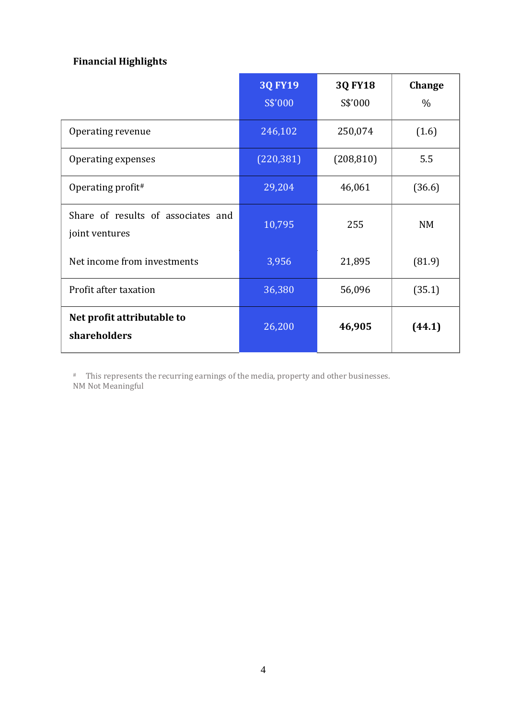# **Financial Highlights**

|                                                      | <b>3Q FY19</b><br>S\$'000 | <b>3Q FY18</b><br>S\$'000 | Change<br>$\%$ |
|------------------------------------------------------|---------------------------|---------------------------|----------------|
| Operating revenue                                    | 246,102                   | 250,074                   | (1.6)          |
| Operating expenses                                   | (220, 381)                | (208, 810)                | 5.5            |
| Operating profit#                                    | 29,204                    | 46,061                    | (36.6)         |
| Share of results of associates and<br>joint ventures | 10,795                    | 255                       | <b>NM</b>      |
| Net income from investments                          | 3,956                     | 21,895                    | (81.9)         |
| Profit after taxation                                | 36,380                    | 56,096                    | (35.1)         |
| Net profit attributable to<br>shareholders           | 26,200                    | 46,905                    | (44.1)         |

# This represents the recurring earnings of the media, property and other businesses. NM Not Meaningful